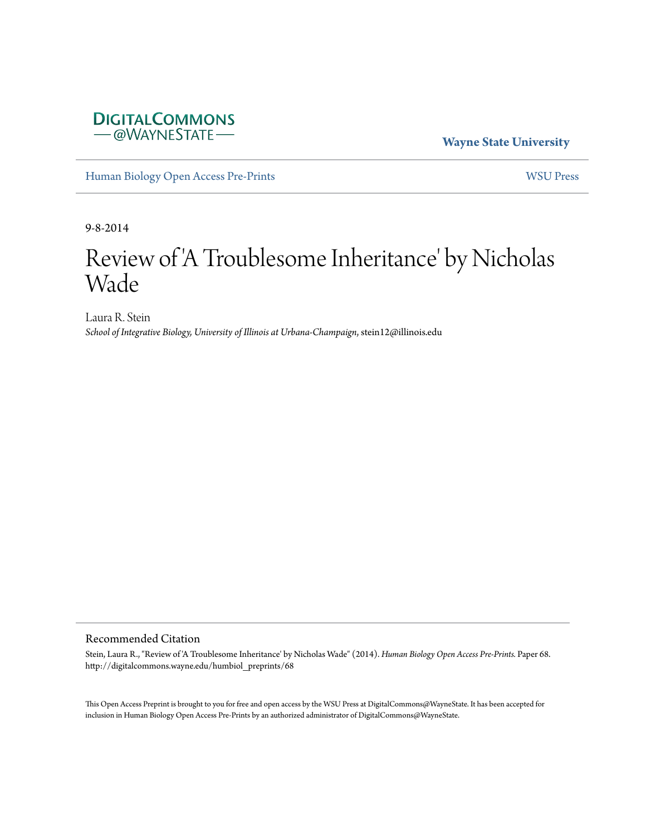# **DIGITALCOMMONS** - @WAYNESTATE-

**Wayne State University**

[Human Biology Open Access Pre-Prints](http://digitalcommons.wayne.edu/humbiol_preprints) [WSU Press](http://digitalcommons.wayne.edu/wsupress)

9-8-2014

# Review of 'A Troublesome Inheritance' by Nicholas Wade

Laura R. Stein *School of Integrative Biology, University of Illinois at Urbana-Champaign*, stein12@illinois.edu

#### Recommended Citation

Stein, Laura R., "Review of 'A Troublesome Inheritance' by Nicholas Wade" (2014). *Human Biology Open Access Pre-Prints.* Paper 68. http://digitalcommons.wayne.edu/humbiol\_preprints/68

This Open Access Preprint is brought to you for free and open access by the WSU Press at DigitalCommons@WayneState. It has been accepted for inclusion in Human Biology Open Access Pre-Prints by an authorized administrator of DigitalCommons@WayneState.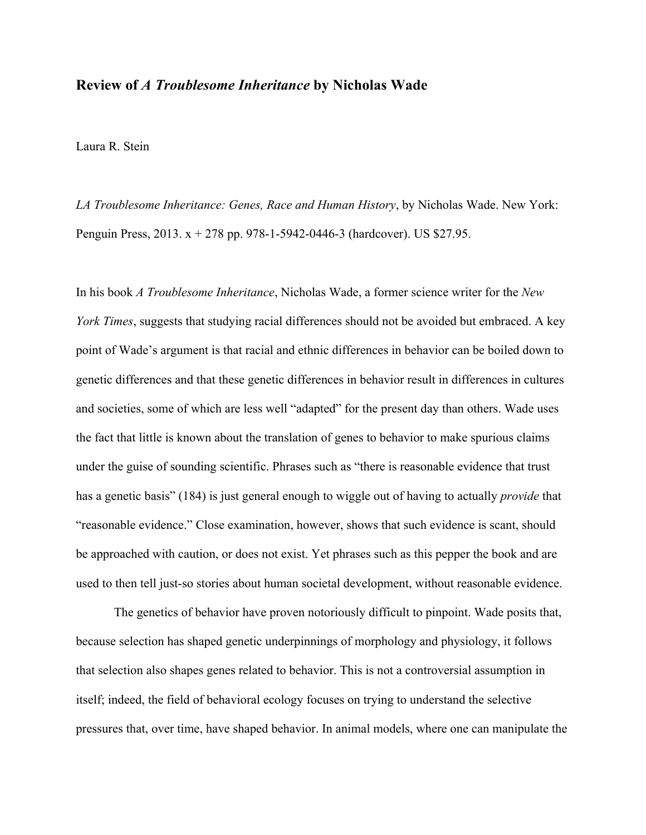### **Review of** *A Troublesome Inheritance* **by Nicholas Wade**

Laura R. Stein

*LA Troublesome Inheritance: Genes, Race and Human History*, by Nicholas Wade. New York: Penguin Press, 2013. x + 278 pp. 978-1-5942-0446-3 (hardcover). US \$27.95.

In his book *A Troublesome Inheritance*, Nicholas Wade, a former science writer for the *New York Times*, suggests that studying racial differences should not be avoided but embraced. A key point of Wade's argument is that racial and ethnic differences in behavior can be boiled down to genetic differences and that these genetic differences in behavior result in differences in cultures and societies, some of which are less well "adapted" for the present day than others. Wade uses the fact that little is known about the translation of genes to behavior to make spurious claims under the guise of sounding scientific. Phrases such as "there is reasonable evidence that trust has a genetic basis" (184) is just general enough to wiggle out of having to actually *provide* that "reasonable evidence." Close examination, however, shows that such evidence is scant, should be approached with caution, or does not exist. Yet phrases such as this pepper the book and are used to then tell just-so stories about human societal development, without reasonable evidence.

The genetics of behavior have proven notoriously difficult to pinpoint. Wade posits that, because selection has shaped genetic underpinnings of morphology and physiology, it follows that selection also shapes genes related to behavior. This is not a controversial assumption in itself; indeed, the field of behavioral ecology focuses on trying to understand the selective pressures that, over time, have shaped behavior. In animal models, where one can manipulate the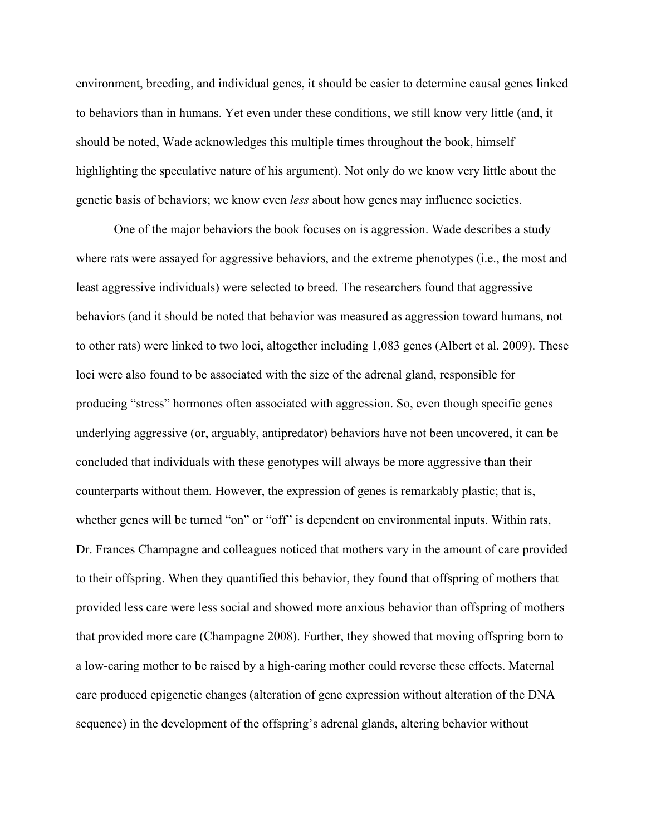environment, breeding, and individual genes, it should be easier to determine causal genes linked to behaviors than in humans. Yet even under these conditions, we still know very little (and, it should be noted, Wade acknowledges this multiple times throughout the book, himself highlighting the speculative nature of his argument). Not only do we know very little about the genetic basis of behaviors; we know even *less* about how genes may influence societies.

One of the major behaviors the book focuses on is aggression. Wade describes a study where rats were assayed for aggressive behaviors, and the extreme phenotypes (i.e., the most and least aggressive individuals) were selected to breed. The researchers found that aggressive behaviors (and it should be noted that behavior was measured as aggression toward humans, not to other rats) were linked to two loci, altogether including 1,083 genes (Albert et al. 2009). These loci were also found to be associated with the size of the adrenal gland, responsible for producing "stress" hormones often associated with aggression. So, even though specific genes underlying aggressive (or, arguably, antipredator) behaviors have not been uncovered, it can be concluded that individuals with these genotypes will always be more aggressive than their counterparts without them. However, the expression of genes is remarkably plastic; that is, whether genes will be turned "on" or "off" is dependent on environmental inputs. Within rats, Dr. Frances Champagne and colleagues noticed that mothers vary in the amount of care provided to their offspring. When they quantified this behavior, they found that offspring of mothers that provided less care were less social and showed more anxious behavior than offspring of mothers that provided more care (Champagne 2008). Further, they showed that moving offspring born to a low-caring mother to be raised by a high-caring mother could reverse these effects. Maternal care produced epigenetic changes (alteration of gene expression without alteration of the DNA sequence) in the development of the offspring's adrenal glands, altering behavior without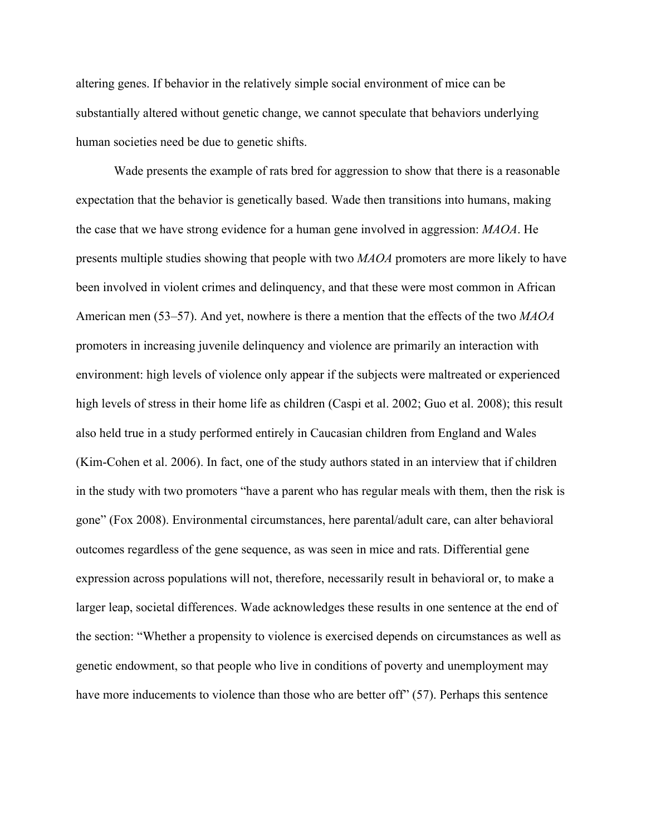altering genes. If behavior in the relatively simple social environment of mice can be substantially altered without genetic change, we cannot speculate that behaviors underlying human societies need be due to genetic shifts.

Wade presents the example of rats bred for aggression to show that there is a reasonable expectation that the behavior is genetically based. Wade then transitions into humans, making the case that we have strong evidence for a human gene involved in aggression: *MAOA*. He presents multiple studies showing that people with two *MAOA* promoters are more likely to have been involved in violent crimes and delinquency, and that these were most common in African American men (53–57). And yet, nowhere is there a mention that the effects of the two *MAOA* promoters in increasing juvenile delinquency and violence are primarily an interaction with environment: high levels of violence only appear if the subjects were maltreated or experienced high levels of stress in their home life as children (Caspi et al. 2002; Guo et al. 2008); this result also held true in a study performed entirely in Caucasian children from England and Wales (Kim-Cohen et al. 2006). In fact, one of the study authors stated in an interview that if children in the study with two promoters "have a parent who has regular meals with them, then the risk is gone" (Fox 2008). Environmental circumstances, here parental/adult care, can alter behavioral outcomes regardless of the gene sequence, as was seen in mice and rats. Differential gene expression across populations will not, therefore, necessarily result in behavioral or, to make a larger leap, societal differences. Wade acknowledges these results in one sentence at the end of the section: "Whether a propensity to violence is exercised depends on circumstances as well as genetic endowment, so that people who live in conditions of poverty and unemployment may have more inducements to violence than those who are better off" (57). Perhaps this sentence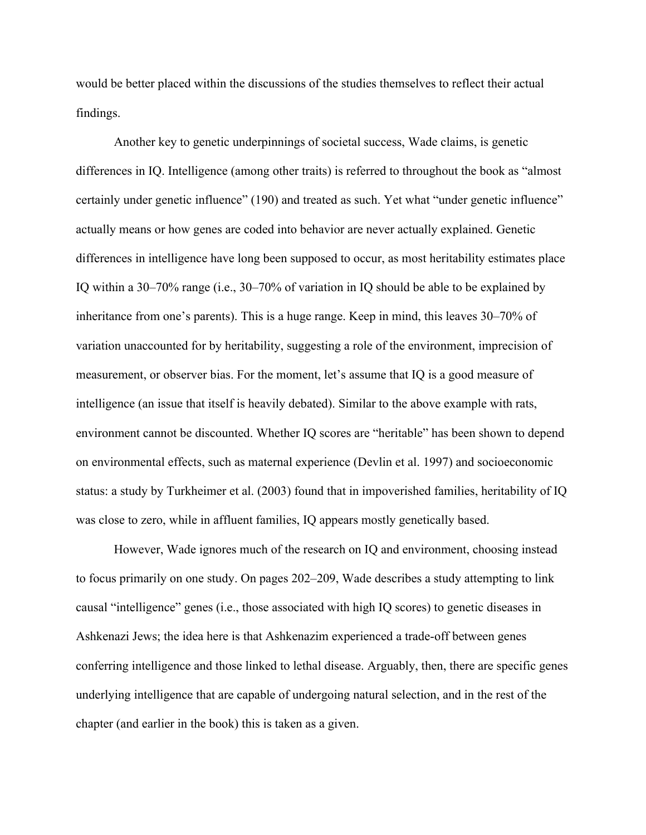would be better placed within the discussions of the studies themselves to reflect their actual findings.

Another key to genetic underpinnings of societal success, Wade claims, is genetic differences in IQ. Intelligence (among other traits) is referred to throughout the book as "almost certainly under genetic influence" (190) and treated as such. Yet what "under genetic influence" actually means or how genes are coded into behavior are never actually explained. Genetic differences in intelligence have long been supposed to occur, as most heritability estimates place IQ within a 30–70% range (i.e., 30–70% of variation in IQ should be able to be explained by inheritance from one's parents). This is a huge range. Keep in mind, this leaves 30–70% of variation unaccounted for by heritability, suggesting a role of the environment, imprecision of measurement, or observer bias. For the moment, let's assume that IQ is a good measure of intelligence (an issue that itself is heavily debated). Similar to the above example with rats, environment cannot be discounted. Whether IQ scores are "heritable" has been shown to depend on environmental effects, such as maternal experience (Devlin et al. 1997) and socioeconomic status: a study by Turkheimer et al. (2003) found that in impoverished families, heritability of IQ was close to zero, while in affluent families, IQ appears mostly genetically based.

However, Wade ignores much of the research on IQ and environment, choosing instead to focus primarily on one study. On pages 202–209, Wade describes a study attempting to link causal "intelligence" genes (i.e., those associated with high IQ scores) to genetic diseases in Ashkenazi Jews; the idea here is that Ashkenazim experienced a trade-off between genes conferring intelligence and those linked to lethal disease. Arguably, then, there are specific genes underlying intelligence that are capable of undergoing natural selection, and in the rest of the chapter (and earlier in the book) this is taken as a given.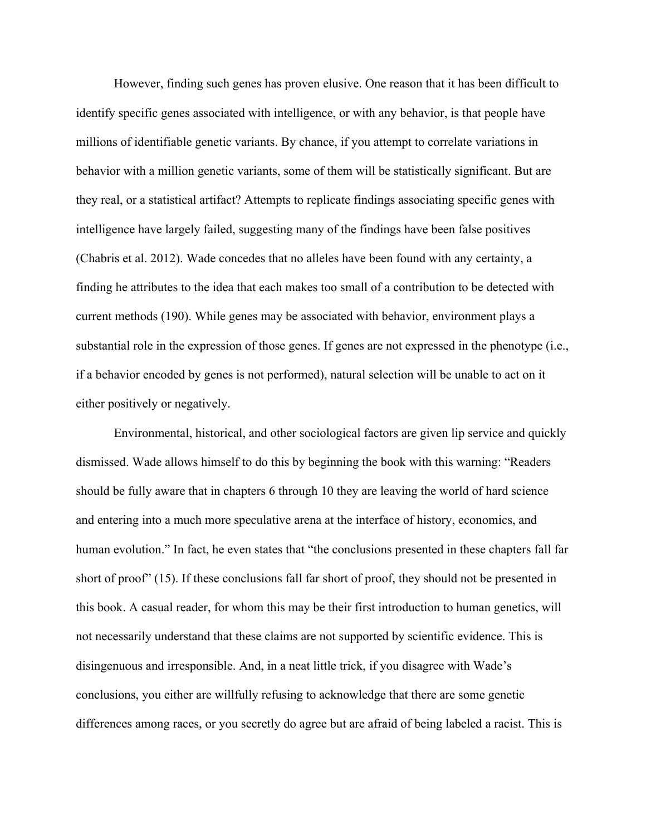However, finding such genes has proven elusive. One reason that it has been difficult to identify specific genes associated with intelligence, or with any behavior, is that people have millions of identifiable genetic variants. By chance, if you attempt to correlate variations in behavior with a million genetic variants, some of them will be statistically significant. But are they real, or a statistical artifact? Attempts to replicate findings associating specific genes with intelligence have largely failed, suggesting many of the findings have been false positives (Chabris et al. 2012). Wade concedes that no alleles have been found with any certainty, a finding he attributes to the idea that each makes too small of a contribution to be detected with current methods (190). While genes may be associated with behavior, environment plays a substantial role in the expression of those genes. If genes are not expressed in the phenotype (i.e., if a behavior encoded by genes is not performed), natural selection will be unable to act on it either positively or negatively.

Environmental, historical, and other sociological factors are given lip service and quickly dismissed. Wade allows himself to do this by beginning the book with this warning: "Readers should be fully aware that in chapters 6 through 10 they are leaving the world of hard science and entering into a much more speculative arena at the interface of history, economics, and human evolution." In fact, he even states that "the conclusions presented in these chapters fall far short of proof" (15). If these conclusions fall far short of proof, they should not be presented in this book. A casual reader, for whom this may be their first introduction to human genetics, will not necessarily understand that these claims are not supported by scientific evidence. This is disingenuous and irresponsible. And, in a neat little trick, if you disagree with Wade's conclusions, you either are willfully refusing to acknowledge that there are some genetic differences among races, or you secretly do agree but are afraid of being labeled a racist. This is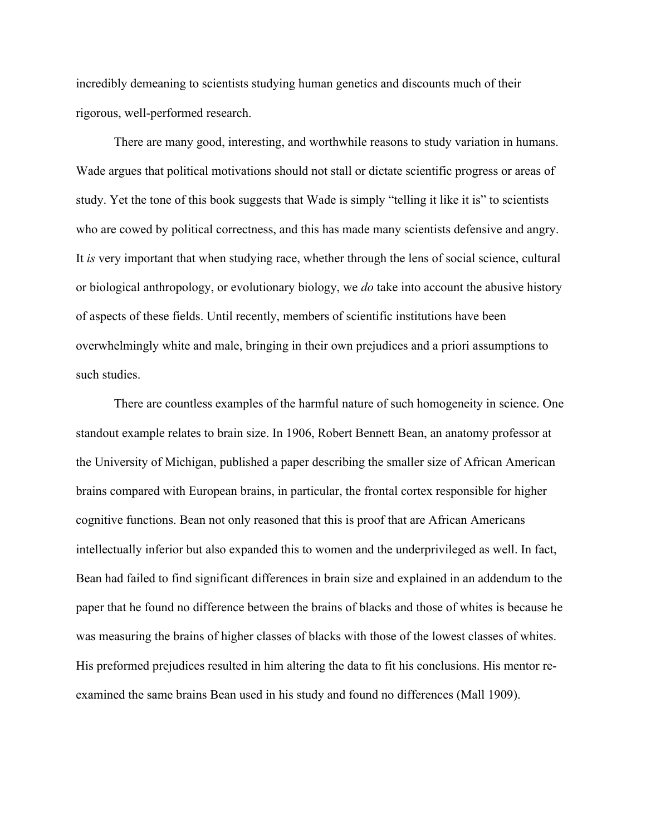incredibly demeaning to scientists studying human genetics and discounts much of their rigorous, well-performed research.

There are many good, interesting, and worthwhile reasons to study variation in humans. Wade argues that political motivations should not stall or dictate scientific progress or areas of study. Yet the tone of this book suggests that Wade is simply "telling it like it is" to scientists who are cowed by political correctness, and this has made many scientists defensive and angry. It *is* very important that when studying race, whether through the lens of social science, cultural or biological anthropology, or evolutionary biology, we *do* take into account the abusive history of aspects of these fields. Until recently, members of scientific institutions have been overwhelmingly white and male, bringing in their own prejudices and a priori assumptions to such studies.

There are countless examples of the harmful nature of such homogeneity in science. One standout example relates to brain size. In 1906, Robert Bennett Bean, an anatomy professor at the University of Michigan, published a paper describing the smaller size of African American brains compared with European brains, in particular, the frontal cortex responsible for higher cognitive functions. Bean not only reasoned that this is proof that are African Americans intellectually inferior but also expanded this to women and the underprivileged as well. In fact, Bean had failed to find significant differences in brain size and explained in an addendum to the paper that he found no difference between the brains of blacks and those of whites is because he was measuring the brains of higher classes of blacks with those of the lowest classes of whites. His preformed prejudices resulted in him altering the data to fit his conclusions. His mentor reexamined the same brains Bean used in his study and found no differences (Mall 1909).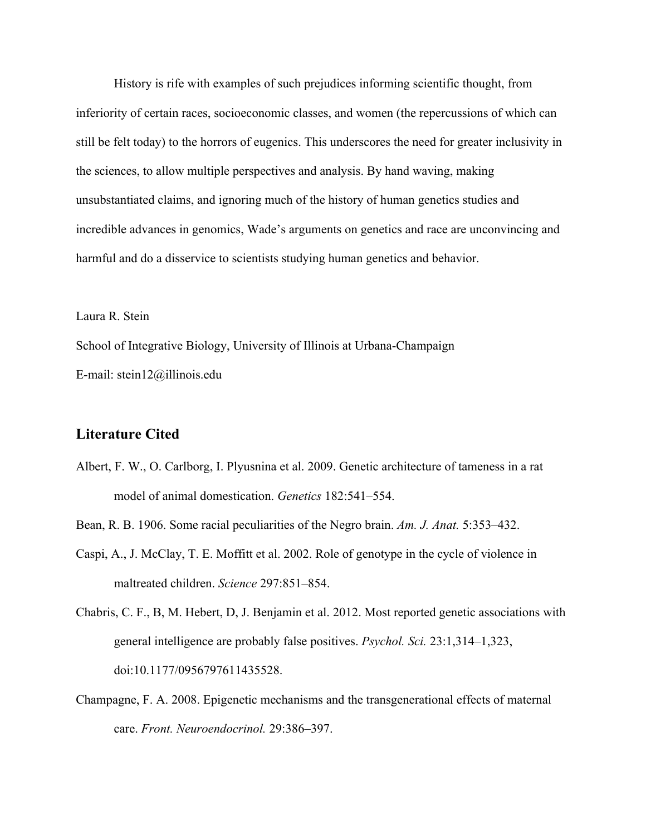History is rife with examples of such prejudices informing scientific thought, from inferiority of certain races, socioeconomic classes, and women (the repercussions of which can still be felt today) to the horrors of eugenics. This underscores the need for greater inclusivity in the sciences, to allow multiple perspectives and analysis. By hand waving, making unsubstantiated claims, and ignoring much of the history of human genetics studies and incredible advances in genomics, Wade's arguments on genetics and race are unconvincing and harmful and do a disservice to scientists studying human genetics and behavior.

Laura R. Stein

School of Integrative Biology, University of Illinois at Urbana-Champaign E-mail: stein12@illinois.edu

## **Literature Cited**

- Albert, F. W., O. Carlborg, I. Plyusnina et al. 2009. Genetic architecture of tameness in a rat model of animal domestication. *Genetics* 182:541–554.
- Bean, R. B. 1906. Some racial peculiarities of the Negro brain. *Am. J. Anat.* 5:353–432.
- Caspi, A., J. McClay, T. E. Moffitt et al. 2002. Role of genotype in the cycle of violence in maltreated children. *Science* 297:851–854.
- Chabris, C. F., B, M. Hebert, D, J. Benjamin et al. 2012. Most reported genetic associations with general intelligence are probably false positives. *Psychol. Sci.* 23:1,314–1,323, doi:10.1177/0956797611435528.
- Champagne, F. A. 2008. Epigenetic mechanisms and the transgenerational effects of maternal care. *Front. Neuroendocrinol.* 29:386–397.